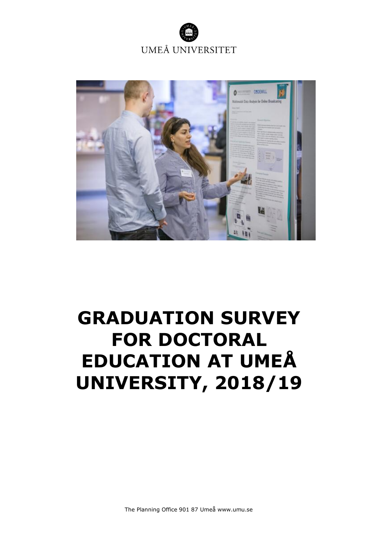



# <span id="page-0-1"></span><span id="page-0-0"></span>**GRADUATION SURVEY FOR DOCTORAL EDUCATION AT UMEÅ UNIVERSITY, 2018/19**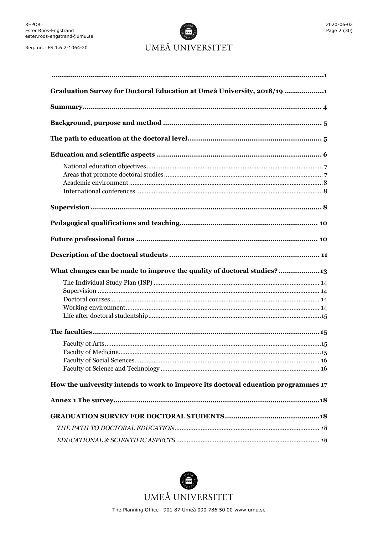# UMEÅ UNIVERSITET

| Graduation Survey for Doctoral Education at Umeå University, 2018/19 1             |
|------------------------------------------------------------------------------------|
|                                                                                    |
|                                                                                    |
|                                                                                    |
|                                                                                    |
|                                                                                    |
|                                                                                    |
|                                                                                    |
|                                                                                    |
|                                                                                    |
|                                                                                    |
| What changes can be made to improve the quality of doctoral studies?13             |
|                                                                                    |
|                                                                                    |
|                                                                                    |
| How the university intends to work to improve its doctoral education programmes 17 |
|                                                                                    |
|                                                                                    |
|                                                                                    |

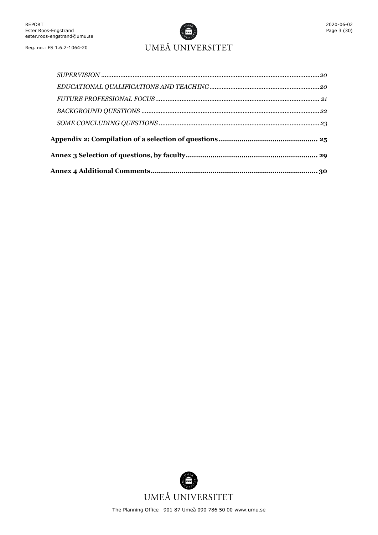

## UMEÅ UNIVERSITET

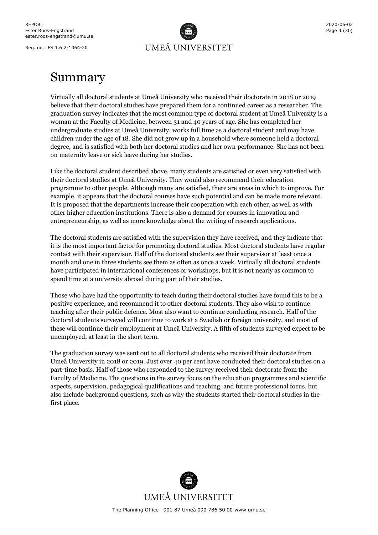

## <span id="page-3-0"></span>Summary

Virtually all doctoral students at Umeå University who received their doctorate in 2018 or 2019 believe that their doctoral studies have prepared them for a continued career as a researcher. The graduation survey indicates that the most common type of doctoral student at Umeå University is a woman at the Faculty of Medicine, between 31 and 40 years of age. She has completed her undergraduate studies at Umeå University, works full time as a doctoral student and may have children under the age of 18. She did not grow up in a household where someone held a doctoral degree, and is satisfied with both her doctoral studies and her own performance. She has not been on maternity leave or sick leave during her studies.

Like the doctoral student described above, many students are satisfied or even very satisfied with their doctoral studies at Umeå University. They would also recommend their education programme to other people. Although many are satisfied, there are areas in which to improve. For example, it appears that the doctoral courses have such potential and can be made more relevant. It is proposed that the departments increase their cooperation with each other, as well as with other higher education institutions. There is also a demand for courses in innovation and entrepreneurship, as well as more knowledge about the writing of research applications.

The doctoral students are satisfied with the supervision they have received, and they indicate that it is the most important factor for promoting doctoral studies. Most doctoral students have regular contact with their supervisor. Half of the doctoral students see their supervisor at least once a month and one in three students see them as often as once a week. Virtually all doctoral students have participated in international conferences or workshops, but it is not nearly as common to spend time at a university abroad during part of their studies.

Those who have had the opportunity to teach during their doctoral studies have found this to be a positive experience, and recommend it to other doctoral students. They also wish to continue teaching after their public defence. Most also want to continue conducting research. Half of the doctoral students surveyed will continue to work at a Swedish or foreign university, and most of these will continue their employment at Umeå University. A fifth of students surveyed expect to be unemployed, at least in the short term.

The graduation survey was sent out to all doctoral students who received their doctorate from Umeå University in 2018 or 2019. Just over 40 per cent have conducted their doctoral studies on a part-time basis. Half of those who responded to the survey received their doctorate from the Faculty of Medicine. The questions in the survey focus on the education programmes and scientific aspects, supervision, pedagogical qualifications and teaching, and future professional focus, but also include background questions, such as why the students started their doctoral studies in the first place.

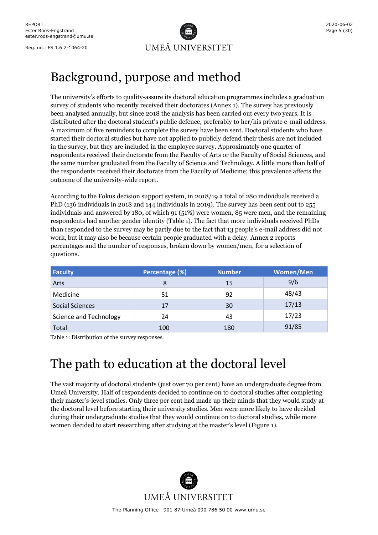

# <span id="page-4-0"></span>Background, purpose and method

The university's efforts to quality-assure its doctoral education programmes includes a graduation survey of students who recently received their doctorates (Annex 1). The survey has previously been analysed annually, but since 2018 the analysis has been carried out every two years. It is distributed after the doctoral student's public defence, preferably to her/his private e-mail address. A maximum of five reminders to complete the survey have been sent. Doctoral students who have started their doctoral studies but have not applied to publicly defend their thesis are not included in the survey, but they are included in the employee survey. Approximately one quarter of respondents received their doctorate from the Faculty of Arts or the Faculty of Social Sciences, and the same number graduated from the Faculty of Science and Technology. A little more than half of the respondents received their doctorate from the Faculty of Medicine; this prevalence affects the outcome of the university-wide report.

According to the Fokus decision support system, in 2018/19 a total of 280 individuals received a PhD (136 individuals in 2018 and 144 individuals in 2019). The survey has been sent out to 255 individuals and answered by 180, of which 91 (51%) were women, 85 were men, and the remaining respondents had another gender identity (Table 1). The fact that more individuals received PhDs than responded to the survey may be partly due to the fact that 13 people's e-mail address did not work, but it may also be because certain people graduated with a delay. Annex 2 reports percentages and the number of responses, broken down by women/men, for a selection of questions.

| <b>Faculty</b>         | Percentage (%) | <b>Number</b> | <b>Women/Men</b> |
|------------------------|----------------|---------------|------------------|
| Arts                   | 8              | 15            | 9/6              |
| Medicine               | 51             | 92            | 48/43            |
| <b>Social Sciences</b> | 17             | 30            | 17/13            |
| Science and Technology | 24             | 43            | 17/23            |
| Total                  | 100            | 180           | 91/85            |

Table 1: Distribution of the survey responses.

# <span id="page-4-1"></span>The path to education at the doctoral level

The vast majority of doctoral students (just over 70 per cent) have an undergraduate degree from Umeå University. Half of respondents decided to continue on to doctoral studies after completing their master's-level studies. Only three per cent had made up their minds that they would study at the doctoral level before starting their university studies. Men were more likely to have decided during their undergraduate studies that they would continue on to doctoral studies, while more women decided to start researching after studying at the master's level (Figure 1).

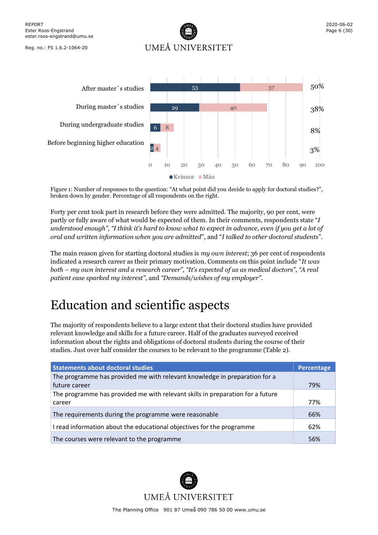UMEÅ UNIVERSITET



Figure 1: Number of responses to the question: "At what point did you decide to apply for doctoral studies?", broken down by gender. Percentage of all respondents on the right.

Forty per cent took part in research before they were admitted. The majority, 90 per cent, were partly or fully aware of what would be expected of them. In their comments, respondents state "*I understood enough", "I think it's hard to know what to expect in advance, even if you get a lot of oral and written information when you are admitted*", and "*I talked to other doctoral students*".

The main reason given for starting doctoral studies is *my own interest*; 36 per cent of respondents indicated a research career as their primary motivation. Comments on this point include "*It was both – my own interest and a research career", "It's expected of us as medical doctors"*, *"A real patient case sparked my interest"*, and *"Demands/wishes of my employer"*.

# <span id="page-5-0"></span>Education and scientific aspects

The majority of respondents believe to a large extent that their doctoral studies have provided relevant knowledge and skills for a future career. Half of the graduates surveyed received information about the rights and obligations of doctoral students during the course of their studies. Just over half consider the courses to be relevant to the programme (Table 2).

| <b>Statements about doctoral studies</b>                                       | Percentage |
|--------------------------------------------------------------------------------|------------|
| The programme has provided me with relevant knowledge in preparation for a     |            |
| future career                                                                  | 79%        |
| The programme has provided me with relevant skills in preparation for a future |            |
| career                                                                         | 77%        |
| The requirements during the programme were reasonable                          | 66%        |
| I read information about the educational objectives for the programme          | 62%        |
| The courses were relevant to the programme                                     | 56%        |

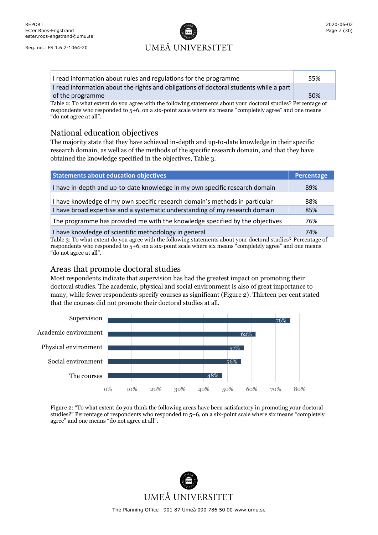# UMEÅ UNIVERSITET

| I read information about rules and regulations for the programme                                              | 55% |
|---------------------------------------------------------------------------------------------------------------|-----|
| I read information about the rights and obligations of doctoral students while a part                         |     |
| of the programme                                                                                              | 50% |
| Table 2: To what extent do you agree with the following statements about your doctoral studies? Percentage of |     |

respondents who responded to  $5+6$ , on a six-point scale where six means "completely agree" and one means "do not agree at all".

## <span id="page-6-0"></span>National education objectives

The majority state that they have achieved in-depth and up-to-date knowledge in their specific research domain, as well as of the methods of the specific research domain, and that they have obtained the knowledge specified in the objectives, Table 3.

| <b>Statements about education objectives</b>                                                                                                                                   | Percentage |
|--------------------------------------------------------------------------------------------------------------------------------------------------------------------------------|------------|
| I have in-depth and up-to-date knowledge in my own specific research domain                                                                                                    | 89%        |
| I have knowledge of my own specific research domain's methods in particular                                                                                                    | 88%        |
| I have broad expertise and a systematic understanding of my research domain                                                                                                    | 85%        |
| The programme has provided me with the knowledge specified by the objectives                                                                                                   | 76%        |
| I have knowledge of scientific methodology in general<br>The black The color contact decoration of contact following statements of contaction destrued starding Democration of | 74%        |

Table 3: To what extent do you agree with the following statements about your doctoral studies? Percentage of respondents who responded to  $5+6$ , on a six-point scale where six means "completely agree" and one means "do not agree at all".

## <span id="page-6-1"></span>Areas that promote doctoral studies

Most respondents indicate that supervision has had the greatest impact on promoting their doctoral studies. The academic, physical and social environment is also of great importance to many, while fewer respondents specify courses as significant (Figure 2). Thirteen per cent stated that the courses did not promote their doctoral studies at all.



Figure 2: "To what extent do you think the following areas have been satisfactory in promoting your doctoral studies?" Percentage of respondents who responded to 5+6, on a six-point scale where six means "completely agree" and one means "do not agree at all".

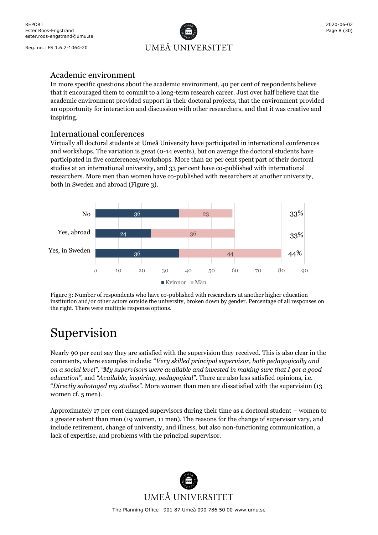

## <span id="page-7-0"></span>Academic environment

In more specific questions about the academic environment, 40 per cent of respondents believe that it encouraged them to commit to a long-term research career. Just over half believe that the academic environment provided support in their doctoral projects, that the environment provided an opportunity for interaction and discussion with other researchers, and that it was creative and inspiring.

## <span id="page-7-1"></span>International conferences

Virtually all doctoral students at Umeå University have participated in international conferences and workshops. The variation is great (0-14 events), but on average the doctoral students have participated in five conferences/workshops. More than 20 per cent spent part of their doctoral studies at an international university, and 33 per cent have co-published with international researchers. More men than women have co-published with researchers at another university, both in Sweden and abroad (Figure 3).



Figure 3: Number of respondents who have co-published with researchers at another higher education institution and/or other actors outside the university, broken down by gender. Percentage of all responses on the right. There were multiple response options.

# <span id="page-7-2"></span>Supervision

Nearly 90 per cent say they are satisfied with the supervision they received. This is also clear in the comments, where examples include: "*Very skilled principal supervisor, both pedagogically and on a social level", "My supervisors were available and invested in making sure that I got a good education"*, and *"Available, inspiring, pedagogical"*. There are also less satisfied opinions, i.e. "*Directly sabotaged my studies".* More women than men are dissatisfied with the supervision (13 women cf. 5 men).

Approximately 17 per cent changed supervisors during their time as a doctoral student – women to a greater extent than men (19 women, 11 men). The reasons for the change of supervisor vary, and include retirement, change of university, and illness, but also non-functioning communication, a lack of expertise, and problems with the principal supervisor.

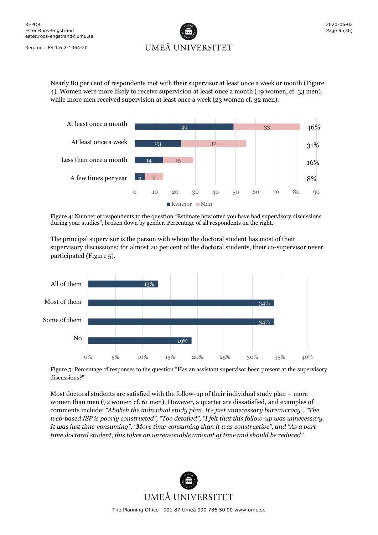

Nearly 80 per cent of respondents met with their supervisor at least once a week or month (Figure 4). Women were more likely to receive supervision at least once a month (49 women, cf. 33 men), while more men received supervision at least once a week (23 women cf. 32 men).



Figure 4: Number of respondents to the question "Estimate how often you have had supervisory discussions during your studies", broken down by gender. Percentage of all respondents on the right.

The principal supervisor is the person with whom the doctoral student has most of their supervisory discussions; for almost 20 per cent of the doctoral students, their co-supervisor never participated (Figure 5).



Figure 5: Percentage of responses to the question "Has an assistant supervisor been present at the supervisory discussions?"

Most doctoral students are satisfied with the follow-up of their individual study plan – more women than men (72 women cf. 61 men). However, a quarter are dissatisfied, and examples of comments include: *"Abolish the individual study plan. It's just unnecessary bureaucracy", "The web-based ISP is poorly constructed", "Too detailed", "I felt that this follow-up was unnecessary. It was just time-consuming", "More time-consuming than it was constructive", and "As a parttime doctoral student, this takes an unreasonable amount of time and should be reduced".* 

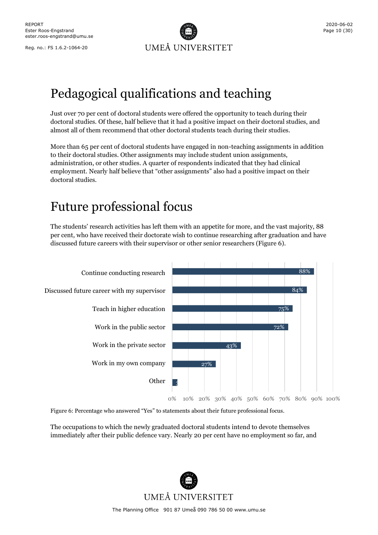

# <span id="page-9-0"></span>Pedagogical qualifications and teaching

Just over 70 per cent of doctoral students were offered the opportunity to teach during their doctoral studies. Of these, half believe that it had a positive impact on their doctoral studies, and almost all of them recommend that other doctoral students teach during their studies.

More than 65 per cent of doctoral students have engaged in non-teaching assignments in addition to their doctoral studies. Other assignments may include student union assignments, administration, or other studies. A quarter of respondents indicated that they had clinical employment. Nearly half believe that "other assignments" also had a positive impact on their doctoral studies.

# <span id="page-9-1"></span>Future professional focus

The students' research activities has left them with an appetite for more, and the vast majority, 88 per cent, who have received their doctorate wish to continue researching after graduation and have discussed future careers with their supervisor or other senior researchers (Figure 6).



Figure 6: Percentage who answered "Yes" to statements about their future professional focus.

The occupations to which the newly graduated doctoral students intend to devote themselves immediately after their public defence vary. Nearly 20 per cent have no employment so far, and

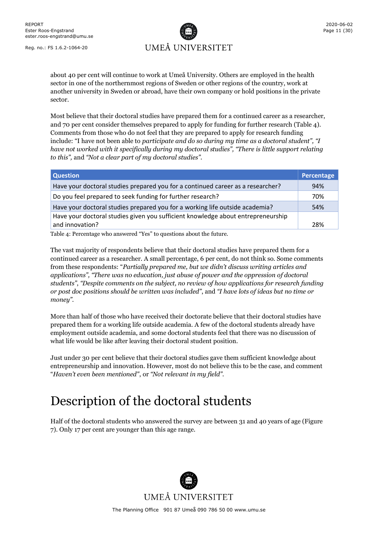

about 40 per cent will continue to work at Umeå University. Others are employed in the health sector in one of the northernmost regions of Sweden or other regions of the country, work at another university in Sweden or abroad, have their own company or hold positions in the private sector.

Most believe that their doctoral studies have prepared them for a continued career as a researcher, and 70 per cent consider themselves prepared to apply for funding for further research (Table 4). Comments from those who do not feel that they are prepared to apply for research funding include: "I have not been able to *participate and do so during my time as a doctoral student", "I have not worked with it specifically during my doctoral studies", "There is little support relating to this",* and *"Not a clear part of my doctoral studies".*

| <b>Question</b>                                                                  | Percentage |
|----------------------------------------------------------------------------------|------------|
| Have your doctoral studies prepared you for a continued career as a researcher?  | 94%        |
| Do you feel prepared to seek funding for further research?                       | 70%        |
| Have your doctoral studies prepared you for a working life outside academia?     | 54%        |
| Have your doctoral studies given you sufficient knowledge about entrepreneurship |            |
| and innovation?                                                                  | 28%        |

Table 4: Percentage who answered "Yes" to questions about the future.

The vast majority of respondents believe that their doctoral studies have prepared them for a continued career as a researcher. A small percentage, 6 per cent, do not think so. Some comments from these respondents: "*Partially prepared me, but we didn't discuss writing articles and applications", "There was no education, just abuse of power and the oppression of doctoral students"*, *"Despite comments on the subject, no review of how applications for research funding or post doc positions should be written was included"*, and *"I have lots of ideas but no time or money".*

More than half of those who have received their doctorate believe that their doctoral studies have prepared them for a working life outside academia. A few of the doctoral students already have employment outside academia, and some doctoral students feel that there was no discussion of what life would be like after leaving their doctoral student position.

Just under 30 per cent believe that their doctoral studies gave them sufficient knowledge about entrepreneurship and innovation. However, most do not believe this to be the case, and comment "*Haven't even been mentioned"*, or *"Not relevant in my field"*.

# <span id="page-10-0"></span>Description of the doctoral students

Half of the doctoral students who answered the survey are between 31 and 40 years of age (Figure 7). Only 17 per cent are younger than this age range.

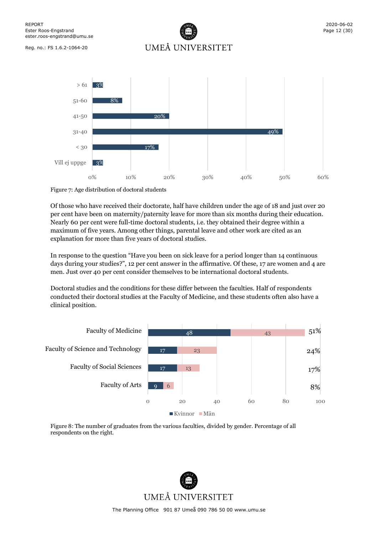UMEÅ UNIVERSITET



Figure 7: Age distribution of doctoral students

Of those who have received their doctorate, half have children under the age of 18 and just over 20 per cent have been on maternity/paternity leave for more than six months during their education. Nearly 60 per cent were full-time doctoral students, i.e. they obtained their degree within a maximum of five years. Among other things, parental leave and other work are cited as an explanation for more than five years of doctoral studies.

In response to the question "Have you been on sick leave for a period longer than 14 continuous days during your studies?", 12 per cent answer in the affirmative. Of these, 17 are women and 4 are men. Just over 40 per cent consider themselves to be international doctoral students.

Doctoral studies and the conditions for these differ between the faculties. Half of respondents conducted their doctoral studies at the Faculty of Medicine, and these students often also have a clinical position.



Figure 8: The number of graduates from the various faculties, divided by gender. Percentage of all respondents on the right.

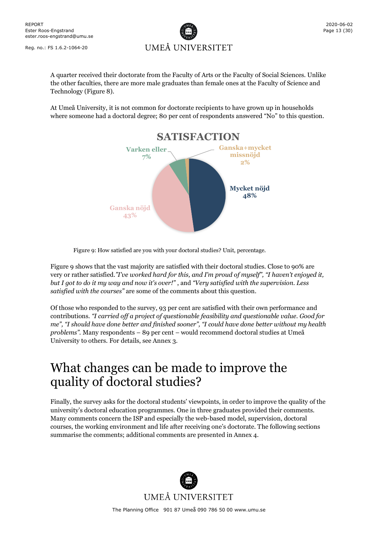

A quarter received their doctorate from the Faculty of Arts or the Faculty of Social Sciences. Unlike the other faculties, there are more male graduates than female ones at the Faculty of Science and Technology (Figure 8).

At Umeå University, it is not common for doctorate recipients to have grown up in households where someone had a doctoral degree; 80 per cent of respondents answered "No" to this question.



Figure 9: How satisfied are you with your doctoral studies? Unit, percentage.

Figure 9 shows that the vast majority are satisfied with their doctoral studies. Close to 90% are very or rather satisfied.*"I've worked hard for this, and I'm proud of myself", "I haven't enjoyed it, but I got to do it my way and now it's over!"* , and *"Very satisfied with the supervision. Less satisfied with the courses"* are some of the comments about this question.

Of those who responded to the survey, 93 per cent are satisfied with their own performance and contributions. *"I carried off a project of questionable feasibility and questionable value. Good for me", "I should have done better and finished sooner", "I could have done better without my health problems".* Many respondents – 89 per cent – would recommend doctoral studies at Umeå University to others*.* For details, see Annex 3.

## <span id="page-12-0"></span>What changes can be made to improve the quality of doctoral studies?

Finally, the survey asks for the doctoral students' viewpoints, in order to improve the quality of the university's doctoral education programmes. One in three graduates provided their comments. Many comments concern the ISP and especially the web-based model, supervision, doctoral courses, the working environment and life after receiving one's doctorate. The following sections summarise the comments; additional comments are presented in Annex 4.

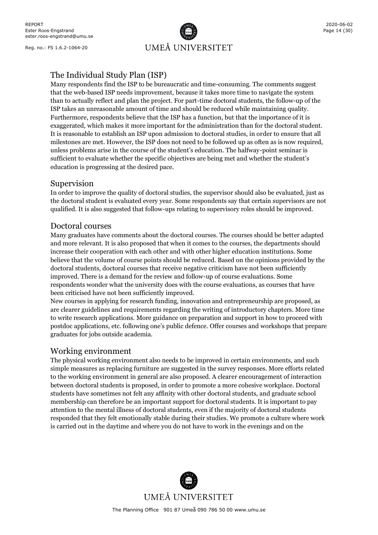UMEÅ UNIVERSITET

## <span id="page-13-0"></span>The Individual Study Plan (ISP)

Many respondents find the ISP to be bureaucratic and time-consuming. The comments suggest that the web-based ISP needs improvement, because it takes more time to navigate the system than to actually reflect and plan the project. For part-time doctoral students, the follow-up of the ISP takes an unreasonable amount of time and should be reduced while maintaining quality. Furthermore, respondents believe that the ISP has a function, but that the importance of it is exaggerated, which makes it more important for the administration than for the doctoral student. It is reasonable to establish an ISP upon admission to doctoral studies, in order to ensure that all milestones are met. However, the ISP does not need to be followed up as often as is now required, unless problems arise in the course of the student's education. The halfway-point seminar is sufficient to evaluate whether the specific objectives are being met and whether the student's education is progressing at the desired pace.

## <span id="page-13-1"></span>Supervision

In order to improve the quality of doctoral studies, the supervisor should also be evaluated, just as the doctoral student is evaluated every year. Some respondents say that certain supervisors are not qualified. It is also suggested that follow-ups relating to supervisory roles should be improved.

## <span id="page-13-2"></span>Doctoral courses

Many graduates have comments about the doctoral courses. The courses should be better adapted and more relevant. It is also proposed that when it comes to the courses, the departments should increase their cooperation with each other and with other higher education institutions. Some believe that the volume of course points should be reduced. Based on the opinions provided by the doctoral students, doctoral courses that receive negative criticism have not been sufficiently improved. There is a demand for the review and follow-up of course evaluations. Some respondents wonder what the university does with the course evaluations, as courses that have been criticised have not been sufficiently improved.

New courses in applying for research funding, innovation and entrepreneurship are proposed, as are clearer guidelines and requirements regarding the writing of introductory chapters. More time to write research applications. More guidance on preparation and support in how to proceed with postdoc applications, etc. following one's public defence. Offer courses and workshops that prepare graduates for jobs outside academia.

## <span id="page-13-3"></span>Working environment

The physical working environment also needs to be improved in certain environments, and such simple measures as replacing furniture are suggested in the survey responses. More efforts related to the working environment in general are also proposed. A clearer encouragement of interaction between doctoral students is proposed, in order to promote a more cohesive workplace. Doctoral students have sometimes not felt any affinity with other doctoral students, and graduate school membership can therefore be an important support for doctoral students. It is important to pay attention to the mental illness of doctoral students, even if the majority of doctoral students responded that they felt emotionally stable during their studies. We promote a culture where work is carried out in the daytime and where you do not have to work in the evenings and on the

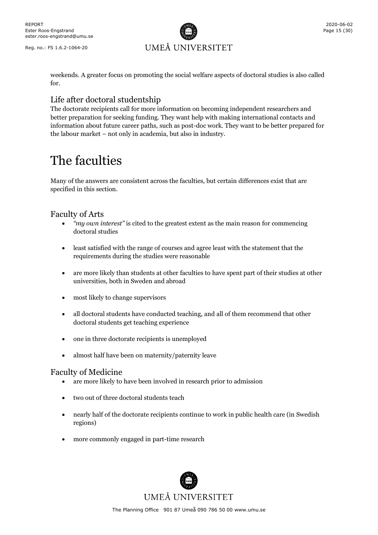

weekends. A greater focus on promoting the social welfare aspects of doctoral studies is also called for.

## <span id="page-14-0"></span>Life after doctoral studentship

The doctorate recipients call for more information on becoming independent researchers and better preparation for seeking funding. They want help with making international contacts and information about future career paths, such as post-doc work. They want to be better prepared for the labour market – not only in academia, but also in industry.

# <span id="page-14-1"></span>The faculties

Many of the answers are consistent across the faculties, but certain differences exist that are specified in this section.

## <span id="page-14-2"></span>Faculty of Arts

- *"my own interest"* is cited to the greatest extent as the main reason for commencing doctoral studies
- least satisfied with the range of courses and agree least with the statement that the requirements during the studies were reasonable
- are more likely than students at other faculties to have spent part of their studies at other universities, both in Sweden and abroad
- most likely to change supervisors
- all doctoral students have conducted teaching, and all of them recommend that other doctoral students get teaching experience
- one in three doctorate recipients is unemployed
- almost half have been on maternity/paternity leave

## <span id="page-14-3"></span>Faculty of Medicine

- are more likely to have been involved in research prior to admission
- two out of three doctoral students teach
- nearly half of the doctorate recipients continue to work in public health care (in Swedish regions)
- more commonly engaged in part-time research

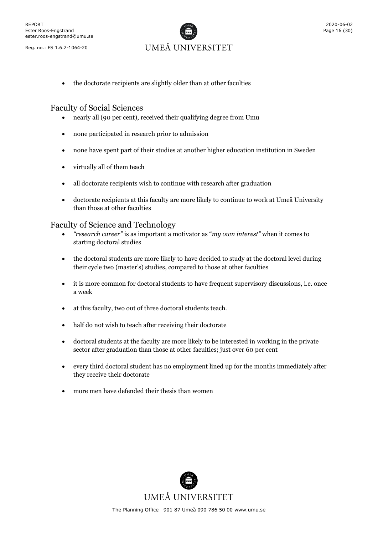

• the doctorate recipients are slightly older than at other faculties

## <span id="page-15-0"></span>Faculty of Social Sciences

- nearly all (90 per cent), received their qualifying degree from Umu
- none participated in research prior to admission
- none have spent part of their studies at another higher education institution in Sweden
- virtually all of them teach
- all doctorate recipients wish to continue with research after graduation
- doctorate recipients at this faculty are more likely to continue to work at Umeå University than those at other faculties

## <span id="page-15-1"></span>Faculty of Science and Technology

- *"research career"* is as important a motivator as "*my own interest"* when it comes to starting doctoral studies
- the doctoral students are more likely to have decided to study at the doctoral level during their cycle two (master's) studies, compared to those at other faculties
- it is more common for doctoral students to have frequent supervisory discussions, i.e. once a week
- at this faculty, two out of three doctoral students teach.
- half do not wish to teach after receiving their doctorate
- doctoral students at the faculty are more likely to be interested in working in the private sector after graduation than those at other faculties; just over 60 per cent
- every third doctoral student has no employment lined up for the months immediately after they receive their doctorate
- more men have defended their thesis than women

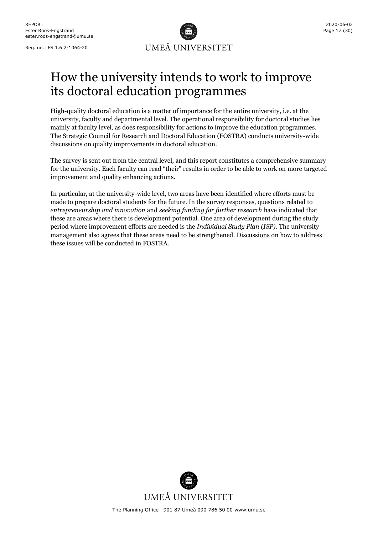

# <span id="page-16-0"></span>How the university intends to work to improve its doctoral education programmes

High-quality doctoral education is a matter of importance for the entire university, i.e. at the university, faculty and departmental level. The operational responsibility for doctoral studies lies mainly at faculty level, as does responsibility for actions to improve the education programmes. The Strategic Council for Research and Doctoral Education (FOSTRA) conducts university-wide discussions on quality improvements in doctoral education.

The survey is sent out from the central level, and this report constitutes a comprehensive summary for the university. Each faculty can read "their" results in order to be able to work on more targeted improvement and quality enhancing actions.

In particular, at the university-wide level, two areas have been identified where efforts must be made to prepare doctoral students for the future. In the survey responses, questions related to *entrepreneurship and innovation* and *seeking funding for further research* have indicated that these are areas where there is development potential. One area of development during the study period where improvement efforts are needed is the *Individual Study Plan (ISP)*. The university management also agrees that these areas need to be strengthened. Discussions on how to address these issues will be conducted in FOSTRA.

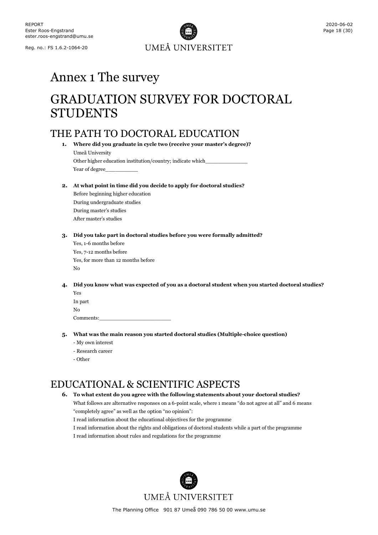

# <span id="page-17-0"></span>Annex 1 The survey

# <span id="page-17-1"></span>GRADUATION SURVEY FOR DOCTORAL STUDENTS

## <span id="page-17-2"></span>THE PATH TO DOCTORAL EDUCATION

**1. Where did you graduate in cycle two (receive your master's degree)?** Umeå University Other higher education institution/country; indicate which\_

Year of degree\_

**2. At what point in time did you decide to apply for doctoral studies?**

Before beginning higher education During undergraduate studies During master's studies After master's studies

**3. Did you take part in doctoral studies before you were formally admitted?**

Yes, 1-6 months before Yes, 7-12 months before Yes, for more than 12 months before No

**4. Did you know what was expected of you as a doctoral student when you started doctoral studies?** Yes

| - 100     |  |  |
|-----------|--|--|
| In part   |  |  |
| No        |  |  |
| Comments: |  |  |

- **5. What was the main reason you started doctoral studies (Multiple-choice question)**
	- My own interest
	- Research career
	- Other

## <span id="page-17-3"></span>EDUCATIONAL & SCIENTIFIC ASPECTS

## **6. To what extent do you agree with the following statements about your doctoral studies?**

What follows are alternative responses on a 6-point scale, where 1 means "do not agree at all" and 6 means "completely agree" as well as the option "no opinion":

I read information about the educational objectives for the programme

I read information about the rights and obligations of doctoral students while a part of the programme

I read information about rules and regulations for the programme

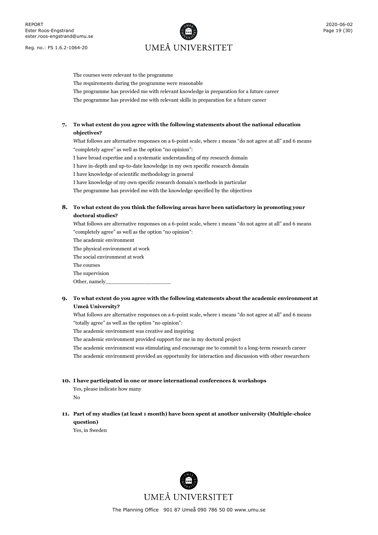# UMEÅ UNIVERSITET

The courses were relevant to the programme The requirements during the programme were reasonable The programme has provided me with relevant knowledge in preparation for a future career The programme has provided me with relevant skills in preparation for a future career

## **7. To what extent do you agree with the following statements about the national education objectives?**

What follows are alternative responses on a 6-point scale, where 1 means "do not agree at all" and 6 means "completely agree" as well as the option "no opinion":

I have broad expertise and a systematic understanding of my research domain

I have in-depth and up-to-date knowledge in my own specific research domain

I have knowledge of scientific methodology in general

I have knowledge of my own specific research domain's methods in particular

The programme has provided me with the knowledge specified by the objectives

## **8. To what extent do you think the following areas have been satisfactory in promoting your doctoral studies?**

What follows are alternative responses on a 6-point scale, where 1 means "do not agree at all" and 6 means "completely agree" as well as the option "no opinion":

The academic environment

The physical environment at work The social environment at work The courses The supervision Other, namely

## **9. To what extent do you agree with the following statements about the academic environment at Umeå University?**

What follows are alternative responses on a 6-point scale, where 1 means "do not agree at all" and 6 means "totally agree" as well as the option "no opinion":

The academic environment was creative and inspiring

The academic environment provided support for me in my doctoral project

The academic environment was stimulating and encourage me to commit to a long-term research career The academic environment provided an opportunity for interaction and discussion with other researchers

#### **10. I have participated in one or more international conferences & workshops**

Yes, please indicate how many

No

**11. Part of my studies (at least 1 month) have been spent at another university (Multiple-choice question)**

Yes, in Sweden

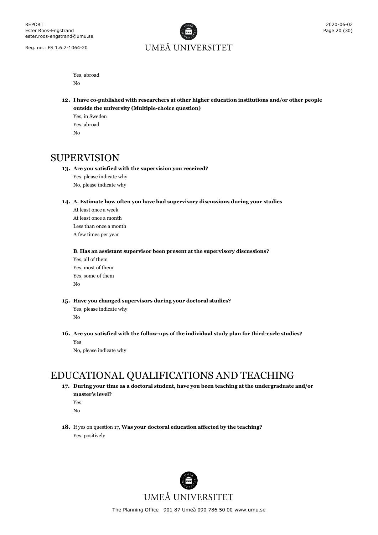

Yes, abroad No

- **12. I have co-published with researchers at other higher education institutions and/or other people outside the university (Multiple-choice question)**
	- Yes, in Sweden Yes, abroad  $N<sub>0</sub>$

## <span id="page-19-0"></span>SUPERVISION

### **13. Are you satisfied with the supervision you received?**

Yes, please indicate why No, please indicate why

#### **14. A. Estimate how often you have had supervisory discussions during your studies**

At least once a week At least once a month Less than once a month A few times per year

#### **B**. **Has an assistant supervisor been present at the supervisory discussions?**

Yes, all of them Yes, most of them Yes, some of them No

**15. Have you changed supervisors during your doctoral studies?**

Yes, please indicate why No

**16. Are you satisfied with the follow-ups of the individual study plan for third-cycle studies?** Yes

No, please indicate why

## <span id="page-19-1"></span>EDUCATIONAL QUALIFICATIONS AND TEACHING

**17. During your time as a doctoral student, have you been teaching at the undergraduate and/or master's level?**

Yes

No

**18.** If yes on question 17, **Was your doctoral education affected by the teaching?** Yes, positively

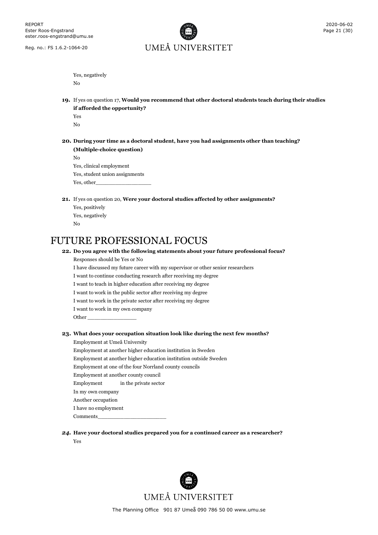# UMEÅ UNIVERSITET

Yes, negatively

No

**19.** If yes on question 17, **Would you recommend that other doctoral students teach during their studies if afforded the opportunity?**

Yes No

**20. During your time as a doctoral student, have you had assignments other than teaching? (Multiple-choice question)** No

Yes, clinical employment Yes, student union assignments Yes, other\_

- **21.** If yes on question 20, **Were your doctoral studies affected by other assignments?**
	- Yes, positively Yes, negatively No

## <span id="page-20-0"></span>FUTURE PROFESSIONAL FOCUS

### **22. Do you agree with the following statements about your future professional focus?**

Responses should be Yes or No I have discussed my future career with my supervisor or other senior researchers I want to continue conducting research after receiving my degree I want to teach in higher education after receiving my degree I want to work in the public sector after receiving my degree I want to work in the private sector after receiving my degree I want to work in my own company Other \_\_\_\_\_\_\_\_\_\_\_\_\_\_\_ **23. What does your occupation situation look like during the next few months?** Employment at Umeå University Employment at another higher education institution in Sweden Employment at another higher education institution outside Sweden Employment at one of the four Norrland county councils Employment at another county council Employment in the private sector In my own company

Another occupation

I have no employment

Comments\_\_\_\_\_\_\_\_\_\_\_\_\_\_\_\_\_\_\_\_\_

## *24.* **Have your doctoral studies prepared you for a continued career as a researcher?** Yes

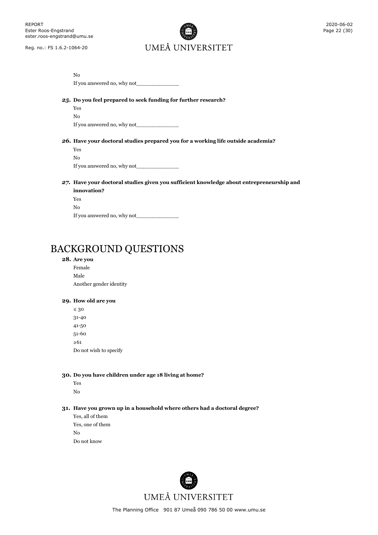

| No                                                                                       |
|------------------------------------------------------------------------------------------|
| If you answered no, why not                                                              |
| 25. Do you feel prepared to seek funding for further research?                           |
| Yes                                                                                      |
| No.                                                                                      |
| If you answered no, why not                                                              |
|                                                                                          |
| 26. Have your doctoral studies prepared you for a working life outside academia?         |
| <b>Yes</b>                                                                               |
| No.                                                                                      |
|                                                                                          |
| 27. Have your doctoral studies given you sufficient knowledge about entrepreneurship and |
| innovation?                                                                              |
| Yes                                                                                      |

<span id="page-21-0"></span>BACKGROUND QUESTIONS

## **28. Are you**

No

Female Male Another gender identity

If you answered no, why not

#### **29. How old are you**

≤ 30 31-40 41-50 51-60 ≥61 Do not wish to specify

## **30. Do you have children under age 18 living at home?**

Yes

No

## **31. Have you grown up in a household where others had a doctoral degree?**

Yes, all of them Yes, one of them No Do not know

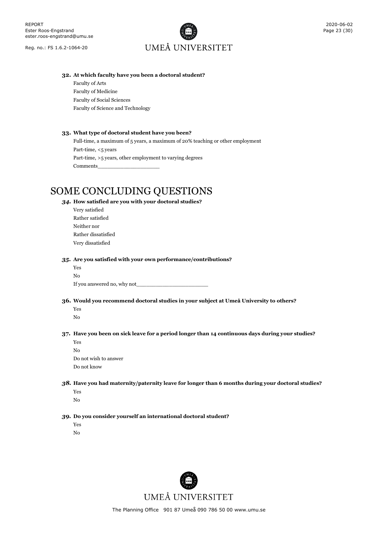# UMEÅ UNIVERSITET

#### **32. At which faculty have you been a doctoral student?**

Faculty of Arts Faculty of Medicine Faculty of Social Sciences Faculty of Science and Technology

#### **33. What type of doctoral student have you been?**

Full-time, a maximum of 5 years, a maximum of 20% teaching or other employment Part-time, <5 years Part-time, >5 years, other employment to varying degrees Comments\_\_\_\_\_\_\_\_\_\_\_\_\_\_\_\_\_\_\_

## <span id="page-22-0"></span>SOME CONCLUDING QUESTIONS

### *34.* **How satisfied are you with your doctoral studies?**

Very satisfied Rather satisfied Neither nor Rather dissatisfied Very dissatisfied

#### *35.* **Are you satisfied with your own performance/contributions?**

| Yes                         |  |
|-----------------------------|--|
| No                          |  |
| If you answered no, why not |  |

#### **36. Would you recommend doctoral studies in your subject at Umeå University to others?**

Yes

## No

### **37. Have you been on sick leave for a period longer than 14 continuous days during your studies?**

Yes No Do not wish to answer Do not know

### *38.* **Have you had maternity/paternity leave for longer than 6 months during your doctoral studies?**

- Yes
- No

#### *39.* **Do you consider yourself an international doctoral student?**

Yes No

UMEÅ UNIVERSITET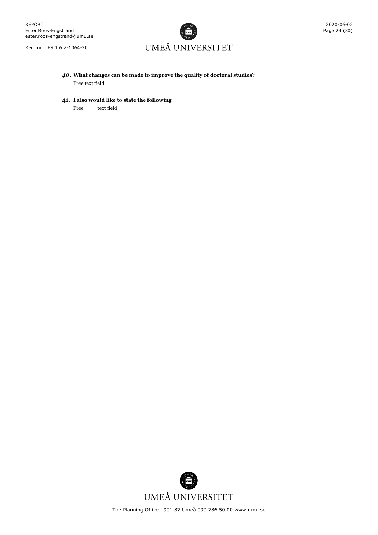# UMEÅ UNIVERSITET

*40.* **What changes can be made to improve the quality of doctoral studies?** Free text field

### **41. I also would like to state the following**

Free text field

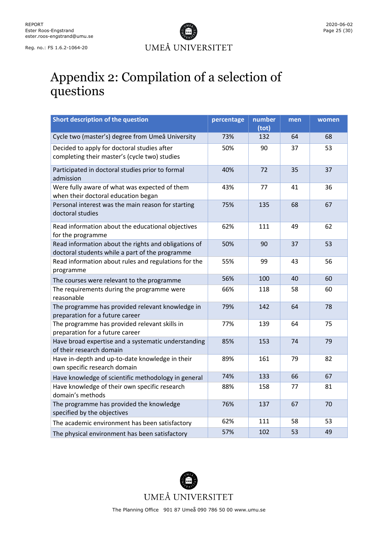

# <span id="page-24-0"></span>Appendix 2: Compilation of a selection of questions

| Short description of the question                                                                       | percentage | number | men | women |
|---------------------------------------------------------------------------------------------------------|------------|--------|-----|-------|
|                                                                                                         |            | (tot)  |     |       |
| Cycle two (master's) degree from Umeå University                                                        | 73%        | 132    | 64  | 68    |
| Decided to apply for doctoral studies after<br>completing their master's (cycle two) studies            | 50%        | 90     | 37  | 53    |
| Participated in doctoral studies prior to formal<br>admission                                           | 40%        | 72     | 35  | 37    |
| Were fully aware of what was expected of them<br>when their doctoral education began                    | 43%        | 77     | 41  | 36    |
| Personal interest was the main reason for starting<br>doctoral studies                                  | 75%        | 135    | 68  | 67    |
| Read information about the educational objectives<br>for the programme                                  | 62%        | 111    | 49  | 62    |
| Read information about the rights and obligations of<br>doctoral students while a part of the programme | 50%        | 90     | 37  | 53    |
| Read information about rules and regulations for the<br>programme                                       | 55%        | 99     | 43  | 56    |
| The courses were relevant to the programme                                                              | 56%        | 100    | 40  | 60    |
| The requirements during the programme were<br>reasonable                                                | 66%        | 118    | 58  | 60    |
| The programme has provided relevant knowledge in<br>preparation for a future career                     | 79%        | 142    | 64  | 78    |
| The programme has provided relevant skills in<br>preparation for a future career                        | 77%        | 139    | 64  | 75    |
| Have broad expertise and a systematic understanding<br>of their research domain                         | 85%        | 153    | 74  | 79    |
| Have in-depth and up-to-date knowledge in their<br>own specific research domain                         | 89%        | 161    | 79  | 82    |
| Have knowledge of scientific methodology in general                                                     | 74%        | 133    | 66  | 67    |
| Have knowledge of their own specific research<br>domain's methods                                       | 88%        | 158    | 77  | 81    |
| The programme has provided the knowledge<br>specified by the objectives                                 | 76%        | 137    | 67  | 70    |
| The academic environment has been satisfactory                                                          | 62%        | 111    | 58  | 53    |
| The physical environment has been satisfactory                                                          | 57%        | 102    | 53  | 49    |

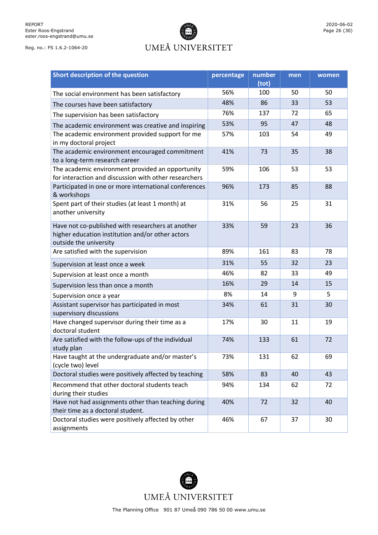# UMEÅ UNIVERSITET

|              | 2020-06-02 |
|--------------|------------|
| Page 26 (30) |            |

| Short description of the question                                                                                               | percentage | number<br>(tot) | men | women |
|---------------------------------------------------------------------------------------------------------------------------------|------------|-----------------|-----|-------|
| The social environment has been satisfactory                                                                                    | 56%        | 100             | 50  | 50    |
| The courses have been satisfactory                                                                                              | 48%        | 86              | 33  |       |
| The supervision has been satisfactory                                                                                           | 76%        | 137             | 72  | 65    |
| The academic environment was creative and inspiring                                                                             | 53%        | 95              | 47  | 48    |
| The academic environment provided support for me<br>in my doctoral project                                                      | 57%        | 103             | 54  | 49    |
| The academic environment encouraged commitment<br>to a long-term research career                                                | 41%        | 73              | 35  | 38    |
| The academic environment provided an opportunity<br>for interaction and discussion with other researchers                       | 59%        | 106             | 53  | 53    |
| Participated in one or more international conferences<br>& workshops                                                            | 96%        | 173             | 85  | 88    |
| Spent part of their studies (at least 1 month) at<br>another university                                                         | 31%        | 56              | 25  | 31    |
| Have not co-published with researchers at another<br>higher education institution and/or other actors<br>outside the university | 33%        | 59              | 23  | 36    |
| Are satisfied with the supervision                                                                                              | 89%        | 161             | 83  | 78    |
| Supervision at least once a week                                                                                                | 31%        | 55              | 32  | 23    |
| Supervision at least once a month                                                                                               | 46%        | 82              | 33  | 49    |
| Supervision less than once a month                                                                                              | 16%        | 29              | 14  | 15    |
| Supervision once a year                                                                                                         | 8%         | 14              | 9   |       |
| Assistant supervisor has participated in most<br>supervisory discussions                                                        | 34%        | 31<br>61        |     | 30    |
| Have changed supervisor during their time as a<br>doctoral student                                                              | 17%        | 30              | 11  | 19    |
| Are satisfied with the follow-ups of the individual<br>study plan                                                               | 74%        | 133             | 61  | 72    |
| Have taught at the undergraduate and/or master's<br>(cycle two) level                                                           | 73%        | 131             | 62  | 69    |
| Doctoral studies were positively affected by teaching                                                                           | 58%        | 83              | 40  | 43    |
| Recommend that other doctoral students teach<br>during their studies                                                            | 94%        | 134             | 62  | 72    |
| Have not had assignments other than teaching during<br>their time as a doctoral student.                                        | 40%        | 72              | 32  | 40    |
| Doctoral studies were positively affected by other<br>assignments                                                               | 46%        | 67              | 37  | 30    |

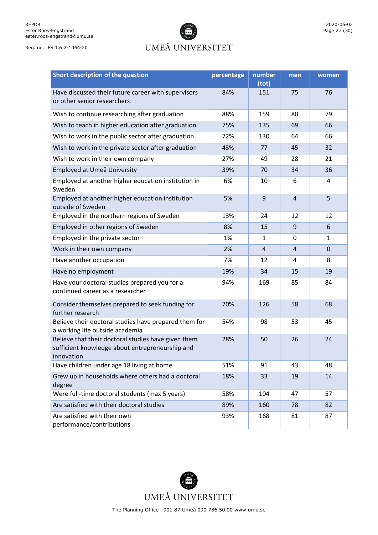## UMEÅ UNIVERSITET

| Short description of the question                                                                                    | percentage | number<br>(tot) | men            | women          |
|----------------------------------------------------------------------------------------------------------------------|------------|-----------------|----------------|----------------|
| Have discussed their future career with supervisors<br>or other senior researchers                                   | 84%        | 151             | 75             | 76             |
| Wish to continue researching after graduation                                                                        | 88%        | 159             | 80             | 79             |
| Wish to teach in higher education after graduation                                                                   | 75%        | 135             | 69             | 66             |
| Wish to work in the public sector after graduation                                                                   | 72%        | 130             | 64             | 66             |
| Wish to work in the private sector after graduation                                                                  | 43%        | 77              | 45             | 32             |
| Wish to work in their own company                                                                                    | 27%        | 49              | 28             | 21             |
| Employed at Umeå University                                                                                          | 39%        | 70              | 34             | 36             |
| Employed at another higher education institution in<br>Sweden                                                        | 6%         | 10              | 6              | 4              |
| Employed at another higher education institution<br>outside of Sweden                                                | 5%         | $\overline{9}$  | $\overline{4}$ | 5              |
| Employed in the northern regions of Sweden                                                                           | 13%        | 12<br>24        |                | 12             |
| Employed in other regions of Sweden                                                                                  | 8%         | 15              | 9              | 6              |
| Employed in the private sector                                                                                       | 1%         | $\mathbf{1}$    | 0              | $\mathbf{1}$   |
| Work in their own company                                                                                            | 2%         | 4               | $\overline{4}$ | $\overline{0}$ |
| Have another occupation                                                                                              | 7%         | 12              | 4              | 8              |
| Have no employment                                                                                                   | 19%        | 34              | 15             | 19             |
| Have your doctoral studies prepared you for a<br>continued career as a researcher                                    | 94%        | 169             | 85             | 84             |
| Consider themselves prepared to seek funding for<br>further research                                                 | 70%        | 126<br>58       |                | 68             |
| Believe their doctoral studies have prepared them for<br>a working life outside academia                             | 54%        | 98              | 53             | 45             |
| Believe that their doctoral studies have given them<br>sufficient knowledge about entrepreneurship and<br>innovation | 28%        | 50              | 26             | 24             |
| Have children under age 18 living at home                                                                            | 51%        | 91              | 43             | 48             |
| Grew up in households where others had a doctoral<br>degree                                                          | 18%        | 33              | 19             | 14             |
| Were full-time doctoral students (max 5 years)                                                                       | 58%        | 104             | 47             | 57             |
| Are satisfied with their doctoral studies                                                                            | 89%        | 160             | 78             | 82             |
| Are satisfied with their own<br>performance/contributions                                                            | 93%        | 168             | 81             | 87             |

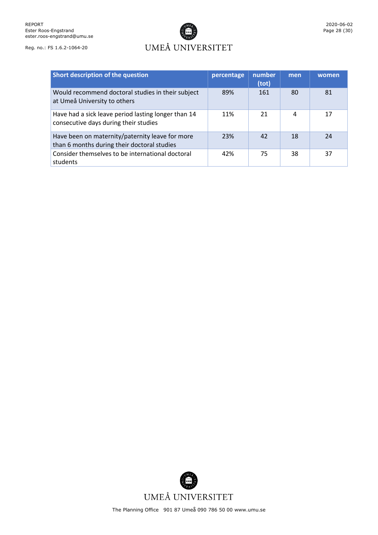## UMEÅ UNIVERSITET

| Short description of the question                                                              | percentage | number<br>(tot) | men | women |
|------------------------------------------------------------------------------------------------|------------|-----------------|-----|-------|
| Would recommend doctoral studies in their subject<br>at Umeå University to others              | 89%        | 161             | 80  | 81    |
| Have had a sick leave period lasting longer than 14<br>consecutive days during their studies   | 11%        | 21              | 4   | 17    |
| Have been on maternity/paternity leave for more<br>than 6 months during their doctoral studies | 23%        | 42              | 18  | 24    |
| Consider themselves to be international doctoral<br>students                                   | 42%        | 75              | 38  | 37    |

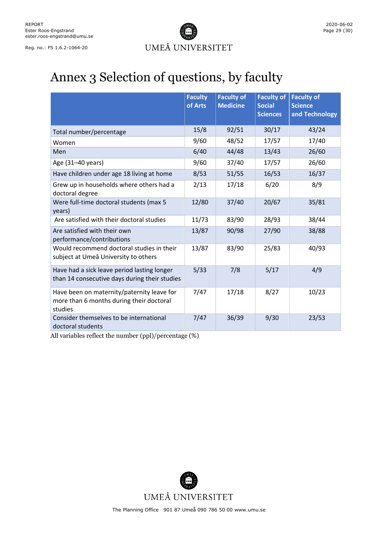

# <span id="page-28-0"></span>Annex 3 Selection of questions, by faculty

|                                                                                                   | <b>Faculty</b><br>of Arts | <b>Faculty of</b><br><b>Medicine</b> | <b>Faculty of</b><br><b>Social</b><br><b>Sciences</b> | <b>Faculty of</b><br><b>Science</b><br>and Technology |
|---------------------------------------------------------------------------------------------------|---------------------------|--------------------------------------|-------------------------------------------------------|-------------------------------------------------------|
| Total number/percentage                                                                           | 15/8                      | 92/51                                | 30/17                                                 | 43/24                                                 |
| Women                                                                                             | 9/60                      | 48/52                                | 17/57                                                 | 17/40                                                 |
| Men                                                                                               | 6/40                      | 44/48                                | 13/43                                                 | 26/60                                                 |
| Age (31-40 years)                                                                                 | 9/60                      | 37/40                                | 17/57                                                 | 26/60                                                 |
| Have children under age 18 living at home                                                         | 8/53                      | 51/55                                | 16/53                                                 | 16/37                                                 |
| Grew up in households where others had a<br>doctoral degree                                       | 2/13                      | 17/18                                | 6/20                                                  | 8/9                                                   |
| Were full-time doctoral students (max 5<br>years)                                                 | 12/80                     | 37/40                                | 20/67                                                 | 35/81                                                 |
| Are satisfied with their doctoral studies                                                         | 11/73                     | 83/90                                | 28/93                                                 | 38/44                                                 |
| Are satisfied with their own<br>performance/contributions                                         | 13/87                     | 90/98                                | 27/90                                                 | 38/88                                                 |
| Would recommend doctoral studies in their<br>subject at Umeå University to others                 | 13/87                     | 83/90                                | 25/83                                                 | 40/93                                                 |
| Have had a sick leave period lasting longer<br>than 14 consecutive days during their studies      | 5/33                      | 7/8                                  | 5/17                                                  | 4/9                                                   |
| Have been on maternity/paternity leave for<br>more than 6 months during their doctoral<br>studies | 7/47                      | 17/18                                | 8/27                                                  | 10/23                                                 |
| Consider themselves to be international<br>doctoral students                                      | 7/47                      | 36/39                                | 9/30                                                  | 23/53                                                 |

All variables reflect the number (ppl)/percentage (%)